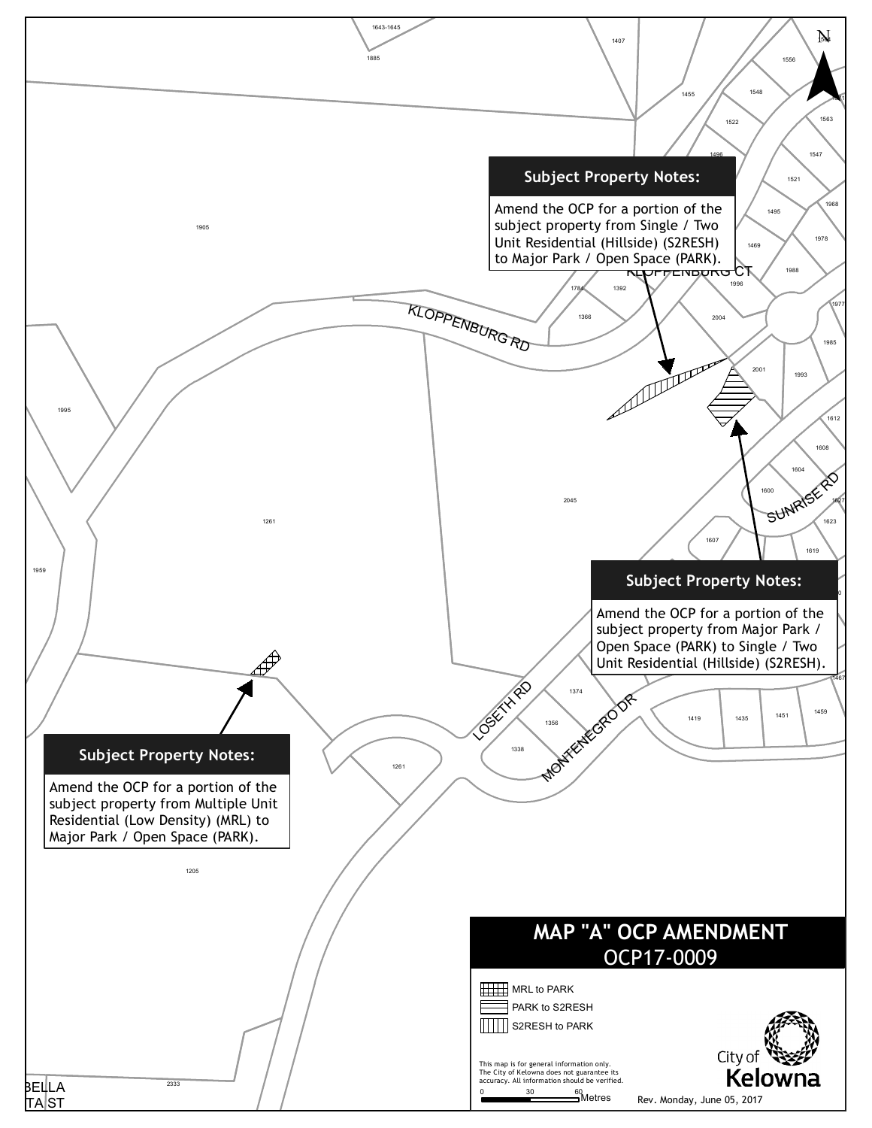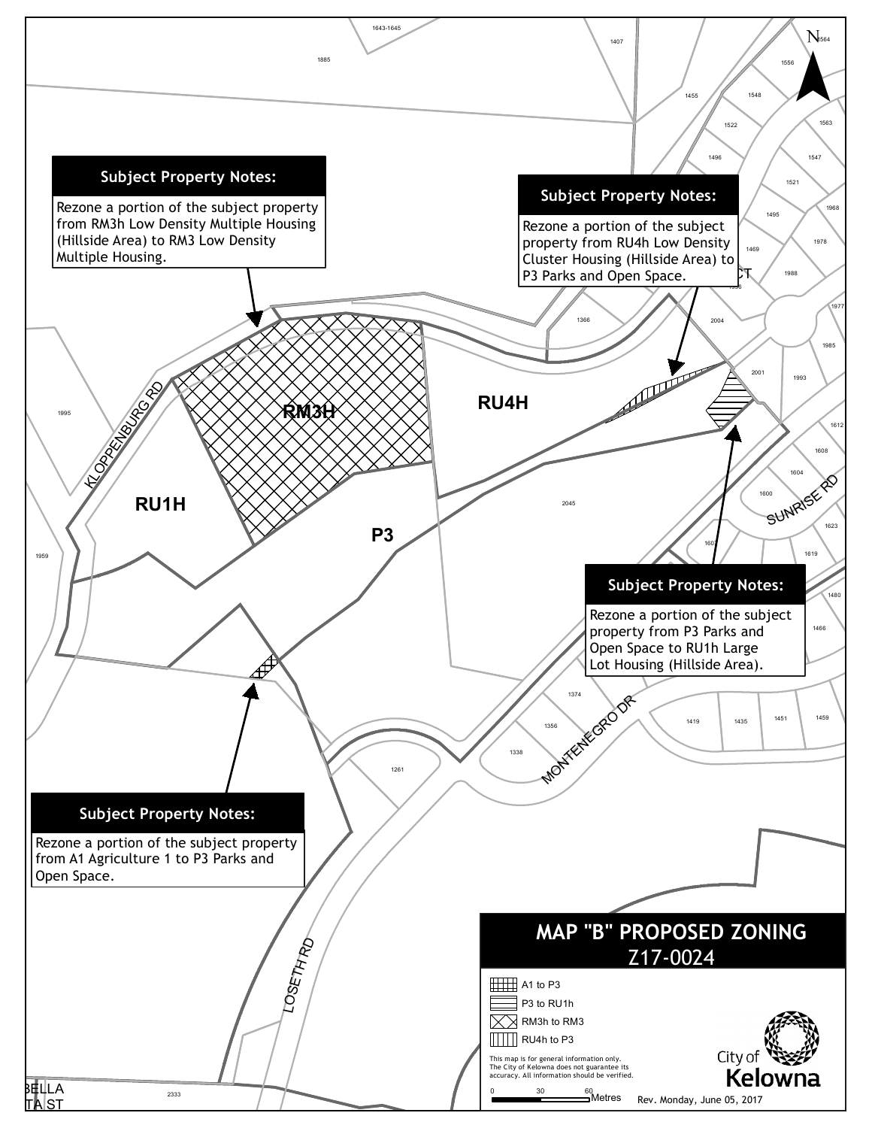